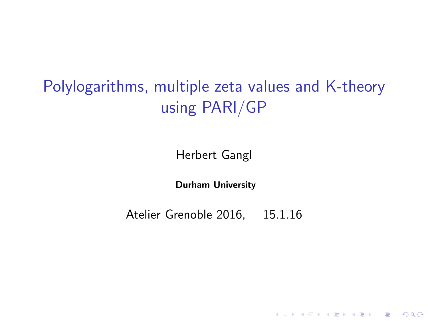# Polylogarithms, multiple zeta values and K-theory using PARI/GP

Herbert Gangl

Durham University

Atelier Grenoble 2016, 15.1.16

**K ロ ▶ K @ ▶ K 할 X X 할 X → 할 X → 9 Q Q ^**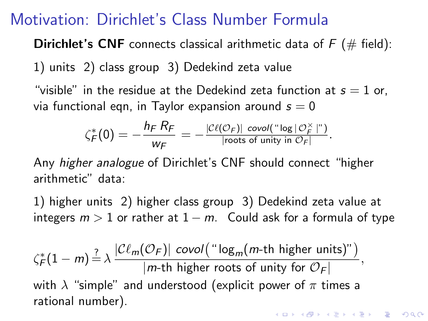## Motivation: Dirichlet's Class Number Formula

**Dirichlet's CNF** connects classical arithmetic data of  $F$  ( $#$  field): 1) units 2) class group 3) Dedekind zeta value

"visible" in the residue at the Dedekind zeta function at  $s = 1$  or, via functional eqn, in Taylor expansion around  $s = 0$ 

$$
\zeta_F^*(0) = -\frac{h_F R_F}{w_F} = -\frac{|\mathcal{C}\ell(\mathcal{O}_F)| \text{ covol}(" \log |\mathcal{O}_F^\times|")}{|\text{roots of unity in } \mathcal{O}_F|}.
$$

Any higher analogue of Dirichlet's CNF should connect "higher arithmetic" data:

1) higher units 2) higher class group 3) Dedekind zeta value at integers  $m > 1$  or rather at  $1 - m$ . Could ask for a formula of type

$$
\zeta_F^*(1-m) \stackrel{?}{=} \lambda \frac{|\mathcal{C}\ell_m(\mathcal{O}_F)| \, \operatorname{covol}(\text{``log}_m(m\text{-th higher units)''})}{|m\text{-th higher roots of unity for }\mathcal{O}_F|},
$$
\nwith  $\lambda$  "simple" and understood (explicit power of  $\pi$  times a rational number).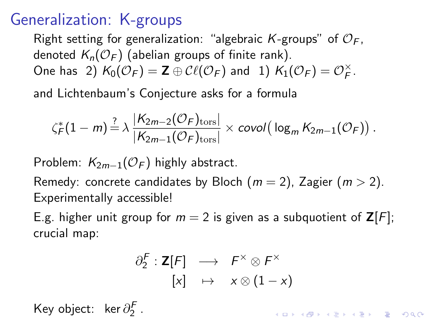# Generalization: K-groups

Right setting for generalization: "algebraic K-groups" of  $\mathcal{O}_F$ . denoted  $K_n(\mathcal{O}_F)$  (abelian groups of finite rank). One has 2)  $K_0(\mathcal{O}_F) = \mathbf{Z} \oplus \mathcal{C}\ell(\mathcal{O}_F)$  and 1)  $K_1(\mathcal{O}_F) = \mathcal{O}_F^\times$  $\mathop{F}\limits^{\times}$  .

and Lichtenbaum's Conjecture asks for a formula

$$
\zeta_F^*(1-m) \stackrel{?}{=} \lambda \frac{|K_{2m-2}(\mathcal{O}_F)_{\text{tors}}|}{|K_{2m-1}(\mathcal{O}_F)_{\text{tors}}|} \times \text{covol}(\log_m K_{2m-1}(\mathcal{O}_F)).
$$

Problem:  $K_{2m-1}(\mathcal{O}_F)$  highly abstract.

Remedy: concrete candidates by Bloch  $(m = 2)$ , Zagier  $(m > 2)$ . Experimentally accessible!

E.g. higher unit group for  $m = 2$  is given as a subquotient of  $\mathsf{Z}[F]$ ; crucial map:

$$
\begin{array}{ccc} \partial_2^F : \mathsf{Z} [F] & \longrightarrow & F^\times \otimes F^\times \\ & [x] & \mapsto & x \otimes (1-x) \end{array}
$$

**AD A 4 4 4 5 A 5 A 5 A 4 D A 4 D A 4 P A 4 5 A 4 5 A 5 A 4 A 4 A 4 A** 

Key object: ker $\partial_2^{\mathcal{F}}$  .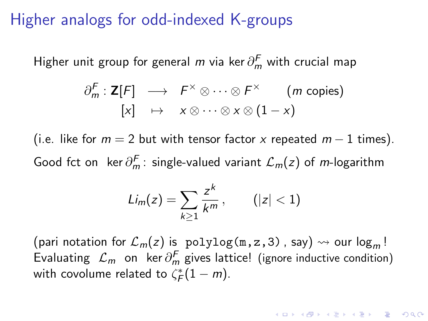#### Higher analogs for odd-indexed K-groups

Higher unit group for general  $m$  via ker $\partial^F_m$  with crucial map

$$
\partial_m^F : \mathbf{Z}[F] \longrightarrow F^\times \otimes \cdots \otimes F^\times \qquad (m \text{ copies})
$$
  
[x]  $\mapsto x \otimes \cdots \otimes x \otimes (1-x)$ 

(i.e. like for  $m = 2$  but with tensor factor x repeated  $m - 1$  times). Good fct on ker $\partial_m^F$ : single-valued variant  $\mathcal{L}_m(z)$  of m-logarithm

$$
Li_m(z)=\sum_{k\geq 1}\frac{z^k}{k^m},\qquad (|z|<1)
$$

(pari notation for  $\mathcal{L}_m(z)$  is polylog(m, z, 3), say)  $\rightsquigarrow$  our log<sub>m</sub>! Evaluating  $\mathcal{L}_m$  on ker $\partial^F_m$  gives lattice! (ignore inductive condition) with covolume related to  $\zeta_F^*(1-m)$ .

**KORK (FRAGE) EL POLO**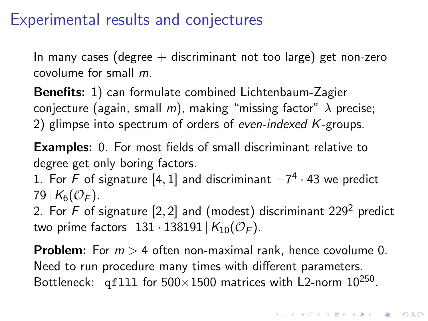## Experimental results and conjectures

In many cases (degree  $+$  discriminant not too large) get non-zero covolume for small m.

Benefits: 1) can formulate combined Lichtenbaum-Zagier conjecture (again, small m), making "missing factor"  $\lambda$  precise; 2) glimpse into spectrum of orders of even-indexed K-groups.

Examples: 0. For most fields of small discriminant relative to degree get only boring factors.

1. For F of signature  $[4,1]$  and discriminant  $-7^4 \cdot 43$  we predict 79 |  $K_6({\mathcal O}_F)$ .

2. For F of signature  $[2, 2]$  and (modest) discriminant 229<sup>2</sup> predict two prime factors  $131 \cdot 138191 \mid K_{10}(\mathcal{O}_F)$ .

**Problem:** For  $m > 4$  often non-maximal rank, hence covolume 0. Need to run procedure many times with different parameters. Bottleneck: qf111 for  $500\times1500$  matrices with L2-norm  $10^{250}$ .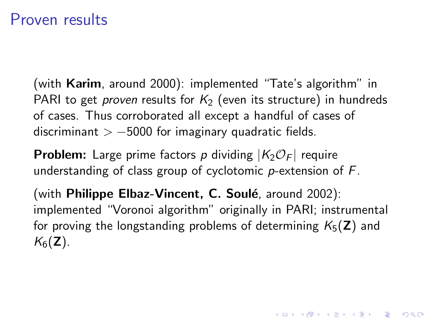#### Proven results

(with Karim, around 2000): implemented "Tate's algorithm" in PARI to get *proven* results for  $K_2$  (even its structure) in hundreds of cases. Thus corroborated all except a handful of cases of discriminant  $> -5000$  for imaginary quadratic fields.

**Problem:** Large prime factors p dividing  $|K_2\mathcal{O}_F|$  require understanding of class group of cyclotomic  $p$ -extension of  $F$ .

(with **Philippe Elbaz-Vincent, C. Soulé**, around 2002): implemented "Voronoi algorithm" originally in PARI; instrumental for proving the longstanding problems of determining  $K_5(\mathbf{Z})$  and  $K_6(\mathbf{Z})$ .

KID KA KERKER KID KO